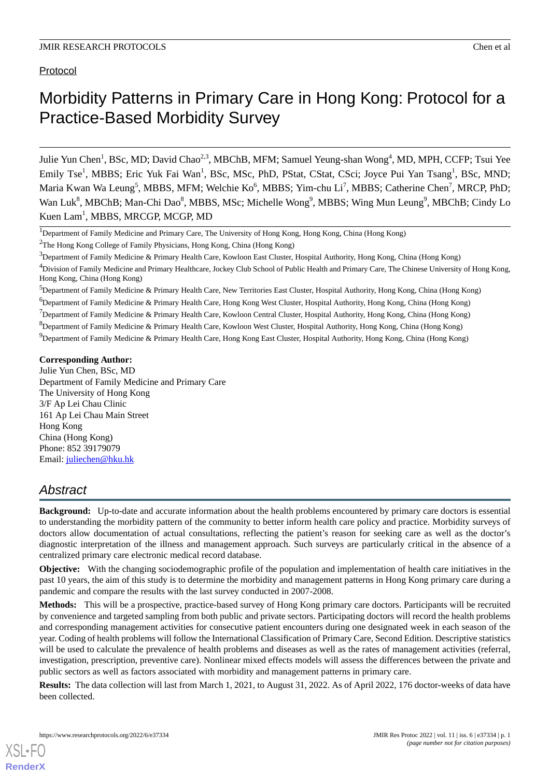# Protocol

# Morbidity Patterns in Primary Care in Hong Kong: Protocol for a Practice-Based Morbidity Survey

Julie Yun Chen<sup>1</sup>, BSc, MD; David Chao<sup>2,3</sup>, MBChB, MFM; Samuel Yeung-shan Wong<sup>4</sup>, MD, MPH, CCFP; Tsui Yee Emily Tse<sup>1</sup>, MBBS; Eric Yuk Fai Wan<sup>1</sup>, BSc, MSc, PhD, PStat, CStat, CSci; Joyce Pui Yan Tsang<sup>1</sup>, BSc, MND; Maria Kwan Wa Leung<sup>5</sup>, MBBS, MFM; Welchie Ko<sup>6</sup>, MBBS; Yim-chu Li<sup>7</sup>, MBBS; Catherine Chen<sup>7</sup>, MRCP, PhD; Wan Luk<sup>8</sup>, MBChB; Man-Chi Dao<sup>8</sup>, MBBS, MSc; Michelle Wong<sup>9</sup>, MBBS; Wing Mun Leung<sup>9</sup>, MBChB; Cindy Lo Kuen Lam<sup>1</sup>, MBBS, MRCGP, MCGP, MD

<sup>6</sup>Department of Family Medicine & Primary Health Care, Hong Kong West Cluster, Hospital Authority, Hong Kong, China (Hong Kong)

<sup>7</sup>Department of Family Medicine & Primary Health Care, Kowloon Central Cluster, Hospital Authority, Hong Kong, China (Hong Kong)

<sup>8</sup>Department of Family Medicine & Primary Health Care, Kowloon West Cluster, Hospital Authority, Hong Kong, China (Hong Kong)

 $9$ Department of Family Medicine & Primary Health Care, Hong Kong East Cluster, Hospital Authority, Hong Kong, China (Hong Kong)

#### **Corresponding Author:**

Julie Yun Chen, BSc, MD Department of Family Medicine and Primary Care The University of Hong Kong 3/F Ap Lei Chau Clinic 161 Ap Lei Chau Main Street Hong Kong China (Hong Kong) Phone: 852 39179079 Email: [juliechen@hku.hk](mailto:juliechen@hku.hk)

# *Abstract*

**Background:** Up-to-date and accurate information about the health problems encountered by primary care doctors is essential to understanding the morbidity pattern of the community to better inform health care policy and practice. Morbidity surveys of doctors allow documentation of actual consultations, reflecting the patient's reason for seeking care as well as the doctor's diagnostic interpretation of the illness and management approach. Such surveys are particularly critical in the absence of a centralized primary care electronic medical record database.

**Objective:** With the changing sociodemographic profile of the population and implementation of health care initiatives in the past 10 years, the aim of this study is to determine the morbidity and management patterns in Hong Kong primary care during a pandemic and compare the results with the last survey conducted in 2007-2008.

**Methods:** This will be a prospective, practice-based survey of Hong Kong primary care doctors. Participants will be recruited by convenience and targeted sampling from both public and private sectors. Participating doctors will record the health problems and corresponding management activities for consecutive patient encounters during one designated week in each season of the year. Coding of health problems will follow the International Classification of Primary Care, Second Edition. Descriptive statistics will be used to calculate the prevalence of health problems and diseases as well as the rates of management activities (referral, investigation, prescription, preventive care). Nonlinear mixed effects models will assess the differences between the private and public sectors as well as factors associated with morbidity and management patterns in primary care.

**Results:** The data collection will last from March 1, 2021, to August 31, 2022. As of April 2022, 176 doctor-weeks of data have been collected.

<sup>&</sup>lt;sup>1</sup>Department of Family Medicine and Primary Care, The University of Hong Kong, Hong Kong, China (Hong Kong)

<sup>2</sup>The Hong Kong College of Family Physicians, Hong Kong, China (Hong Kong)

<sup>3</sup>Department of Family Medicine & Primary Health Care, Kowloon East Cluster, Hospital Authority, Hong Kong, China (Hong Kong)

<sup>&</sup>lt;sup>4</sup>Division of Family Medicine and Primary Healthcare, Jockey Club School of Public Health and Primary Care, The Chinese University of Hong Kong, Hong Kong, China (Hong Kong)

<sup>5</sup>Department of Family Medicine & Primary Health Care, New Territories East Cluster, Hospital Authority, Hong Kong, China (Hong Kong)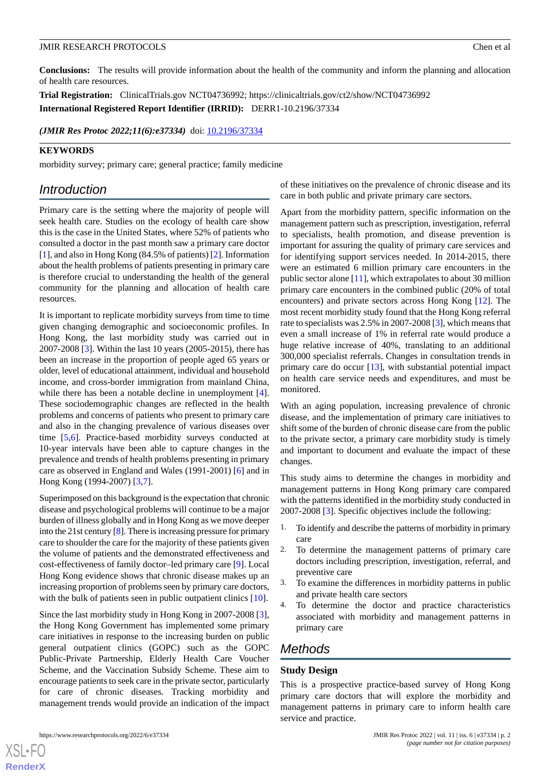**Conclusions:** The results will provide information about the health of the community and inform the planning and allocation of health care resources.

**Trial Registration:** ClinicalTrials.gov NCT04736992; https://clinicaltrials.gov/ct2/show/NCT04736992 **International Registered Report Identifier (IRRID):** DERR1-10.2196/37334

*(JMIR Res Protoc 2022;11(6):e37334)* doi: [10.2196/37334](http://dx.doi.org/10.2196/37334)

## **KEYWORDS**

morbidity survey; primary care; general practice; family medicine

# *Introduction*

Primary care is the setting where the majority of people will seek health care. Studies on the ecology of health care show this is the case in the United States, where 52% of patients who consulted a doctor in the past month saw a primary care doctor [[1\]](#page-4-0), and also in Hong Kong (84.5% of patients) [\[2](#page-4-1)]. Information about the health problems of patients presenting in primary care is therefore crucial to understanding the health of the general community for the planning and allocation of health care resources.

It is important to replicate morbidity surveys from time to time given changing demographic and socioeconomic profiles. In Hong Kong, the last morbidity study was carried out in 2007-2008 [[3](#page-5-0)]. Within the last 10 years (2005-2015), there has been an increase in the proportion of people aged 65 years or older, level of educational attainment, individual and household income, and cross-border immigration from mainland China, while there has been a notable decline in unemployment [[4\]](#page-5-1). These sociodemographic changes are reflected in the health problems and concerns of patients who present to primary care and also in the changing prevalence of various diseases over time [\[5](#page-5-2),[6\]](#page-5-3). Practice-based morbidity surveys conducted at 10-year intervals have been able to capture changes in the prevalence and trends of health problems presenting in primary care as observed in England and Wales (1991-2001) [\[6](#page-5-3)] and in Hong Kong (1994-2007) [\[3](#page-5-0),[7\]](#page-5-4).

Superimposed on this background is the expectation that chronic disease and psychological problems will continue to be a major burden of illness globally and in Hong Kong as we move deeper into the 21st century [[8\]](#page-5-5). There is increasing pressure for primary care to shoulder the care for the majority of these patients given the volume of patients and the demonstrated effectiveness and cost-effectiveness of family doctor–led primary care [[9\]](#page-5-6). Local Hong Kong evidence shows that chronic disease makes up an increasing proportion of problems seen by primary care doctors, with the bulk of patients seen in public outpatient clinics [\[10](#page-5-7)].

Since the last morbidity study in Hong Kong in 2007-2008 [[3\]](#page-5-0), the Hong Kong Government has implemented some primary care initiatives in response to the increasing burden on public general outpatient clinics (GOPC) such as the GOPC Public-Private Partnership, Elderly Health Care Voucher Scheme, and the Vaccination Subsidy Scheme. These aim to encourage patients to seek care in the private sector, particularly for care of chronic diseases. Tracking morbidity and management trends would provide an indication of the impact of these initiatives on the prevalence of chronic disease and its care in both public and private primary care sectors.

Apart from the morbidity pattern, specific information on the management pattern such as prescription, investigation, referral to specialists, health promotion, and disease prevention is important for assuring the quality of primary care services and for identifying support services needed. In 2014-2015, there were an estimated 6 million primary care encounters in the public sector alone [[11\]](#page-5-8), which extrapolates to about 30 million primary care encounters in the combined public (20% of total encounters) and private sectors across Hong Kong [[12\]](#page-5-9). The most recent morbidity study found that the Hong Kong referral rate to specialists was 2.5% in 2007-2008 [\[3](#page-5-0)], which means that even a small increase of 1% in referral rate would produce a huge relative increase of 40%, translating to an additional 300,000 specialist referrals. Changes in consultation trends in primary care do occur [[13\]](#page-5-10), with substantial potential impact on health care service needs and expenditures, and must be monitored.

With an aging population, increasing prevalence of chronic disease, and the implementation of primary care initiatives to shift some of the burden of chronic disease care from the public to the private sector, a primary care morbidity study is timely and important to document and evaluate the impact of these changes.

This study aims to determine the changes in morbidity and management patterns in Hong Kong primary care compared with the patterns identified in the morbidity study conducted in 2007-2008 [[3\]](#page-5-0). Specific objectives include the following:

- 1. To identify and describe the patterns of morbidity in primary care
- 2. To determine the management patterns of primary care doctors including prescription, investigation, referral, and preventive care
- 3. To examine the differences in morbidity patterns in public and private health care sectors
- 4. To determine the doctor and practice characteristics associated with morbidity and management patterns in primary care

# *Methods*

# **Study Design**

This is a prospective practice-based survey of Hong Kong primary care doctors that will explore the morbidity and management patterns in primary care to inform health care service and practice.

https://www.researchprotocols.org/2022/6/e37334 p. 2<br> **JMIR Res Protoc 2022 | vol. 11 | iss. 6 | e37334 | p. 2**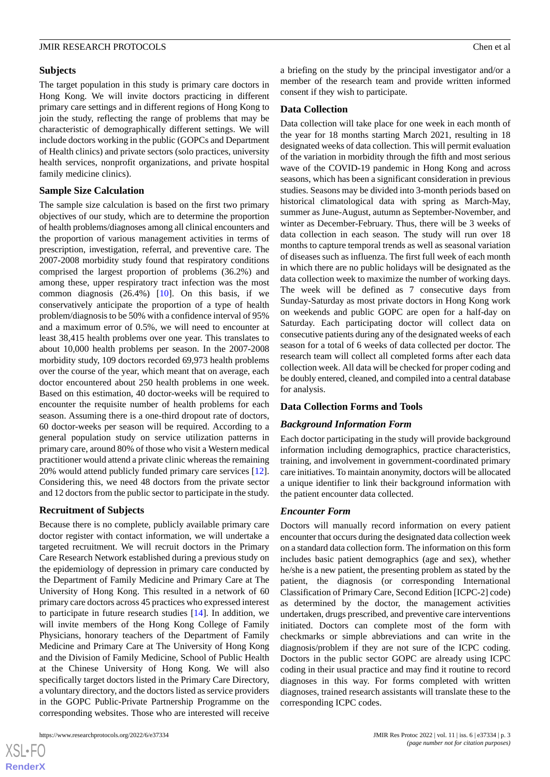#### **Subjects**

The target population in this study is primary care doctors in Hong Kong. We will invite doctors practicing in different primary care settings and in different regions of Hong Kong to join the study, reflecting the range of problems that may be characteristic of demographically different settings. We will include doctors working in the public (GOPCs and Department of Health clinics) and private sectors (solo practices, university health services, nonprofit organizations, and private hospital family medicine clinics).

#### **Sample Size Calculation**

The sample size calculation is based on the first two primary objectives of our study, which are to determine the proportion of health problems/diagnoses among all clinical encounters and the proportion of various management activities in terms of prescription, investigation, referral, and preventive care. The 2007-2008 morbidity study found that respiratory conditions comprised the largest proportion of problems (36.2%) and among these, upper respiratory tract infection was the most common diagnosis  $(26.4%)$  [[10\]](#page-5-7). On this basis, if we conservatively anticipate the proportion of a type of health problem/diagnosis to be 50% with a confidence interval of 95% and a maximum error of 0.5%, we will need to encounter at least 38,415 health problems over one year. This translates to about 10,000 health problems per season. In the 2007-2008 morbidity study, 109 doctors recorded 69,973 health problems over the course of the year, which meant that on average, each doctor encountered about 250 health problems in one week. Based on this estimation, 40 doctor-weeks will be required to encounter the requisite number of health problems for each season. Assuming there is a one-third dropout rate of doctors, 60 doctor-weeks per season will be required. According to a general population study on service utilization patterns in primary care, around 80% of those who visit a Western medical practitioner would attend a private clinic whereas the remaining 20% would attend publicly funded primary care services [[12\]](#page-5-9). Considering this, we need 48 doctors from the private sector and 12 doctors from the public sector to participate in the study.

#### **Recruitment of Subjects**

Because there is no complete, publicly available primary care doctor register with contact information, we will undertake a targeted recruitment. We will recruit doctors in the Primary Care Research Network established during a previous study on the epidemiology of depression in primary care conducted by the Department of Family Medicine and Primary Care at The University of Hong Kong. This resulted in a network of 60 primary care doctors across 45 practices who expressed interest to participate in future research studies [[14\]](#page-5-11). In addition, we will invite members of the Hong Kong College of Family Physicians, honorary teachers of the Department of Family Medicine and Primary Care at The University of Hong Kong and the Division of Family Medicine, School of Public Health at the Chinese University of Hong Kong. We will also specifically target doctors listed in the Primary Care Directory, a voluntary directory, and the doctors listed as service providers in the GOPC Public-Private Partnership Programme on the corresponding websites. Those who are interested will receive

 $XSI - F($ **[RenderX](http://www.renderx.com/)** a briefing on the study by the principal investigator and/or a member of the research team and provide written informed consent if they wish to participate.

#### **Data Collection**

Data collection will take place for one week in each month of the year for 18 months starting March 2021, resulting in 18 designated weeks of data collection. This will permit evaluation of the variation in morbidity through the fifth and most serious wave of the COVID-19 pandemic in Hong Kong and across seasons, which has been a significant consideration in previous studies. Seasons may be divided into 3-month periods based on historical climatological data with spring as March-May, summer as June-August, autumn as September-November, and winter as December-February. Thus, there will be 3 weeks of data collection in each season. The study will run over 18 months to capture temporal trends as well as seasonal variation of diseases such as influenza. The first full week of each month in which there are no public holidays will be designated as the data collection week to maximize the number of working days. The week will be defined as 7 consecutive days from Sunday-Saturday as most private doctors in Hong Kong work on weekends and public GOPC are open for a half-day on Saturday. Each participating doctor will collect data on consecutive patients during any of the designated weeks of each season for a total of 6 weeks of data collected per doctor. The research team will collect all completed forms after each data collection week. All data will be checked for proper coding and be doubly entered, cleaned, and compiled into a central database for analysis.

#### **Data Collection Forms and Tools**

#### *Background Information Form*

Each doctor participating in the study will provide background information including demographics, practice characteristics, training, and involvement in government-coordinated primary care initiatives. To maintain anonymity, doctors will be allocated a unique identifier to link their background information with the patient encounter data collected.

#### *Encounter Form*

Doctors will manually record information on every patient encounter that occurs during the designated data collection week on a standard data collection form. The information on this form includes basic patient demographics (age and sex), whether he/she is a new patient, the presenting problem as stated by the patient, the diagnosis (or corresponding International Classification of Primary Care, Second Edition [ICPC-2] code) as determined by the doctor, the management activities undertaken, drugs prescribed, and preventive care interventions initiated. Doctors can complete most of the form with checkmarks or simple abbreviations and can write in the diagnosis/problem if they are not sure of the ICPC coding. Doctors in the public sector GOPC are already using ICPC coding in their usual practice and may find it routine to record diagnoses in this way. For forms completed with written diagnoses, trained research assistants will translate these to the corresponding ICPC codes.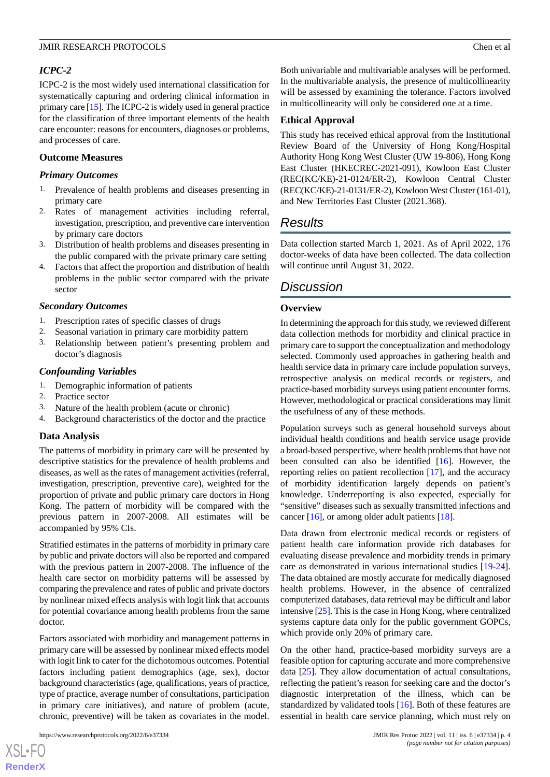# *ICPC-2*

ICPC-2 is the most widely used international classification for systematically capturing and ordering clinical information in primary care [\[15\]](#page-5-12). The ICPC-2 is widely used in general practice for the classification of three important elements of the health care encounter: reasons for encounters, diagnoses or problems, and processes of care.

# **Outcome Measures**

# *Primary Outcomes*

- 1. Prevalence of health problems and diseases presenting in primary care
- 2. Rates of management activities including referral, investigation, prescription, and preventive care intervention by primary care doctors
- 3. Distribution of health problems and diseases presenting in the public compared with the private primary care setting
- 4. Factors that affect the proportion and distribution of health problems in the public sector compared with the private sector

#### *Secondary Outcomes*

- 1. Prescription rates of specific classes of drugs
- 2. Seasonal variation in primary care morbidity pattern
- 3. Relationship between patient's presenting problem and doctor's diagnosis

#### *Confounding Variables*

- 1. Demographic information of patients
- 2. Practice sector
- 3. Nature of the health problem (acute or chronic)
- 4. Background characteristics of the doctor and the practice

# **Data Analysis**

The patterns of morbidity in primary care will be presented by descriptive statistics for the prevalence of health problems and diseases, as well as the rates of management activities (referral, investigation, prescription, preventive care), weighted for the proportion of private and public primary care doctors in Hong Kong. The pattern of morbidity will be compared with the previous pattern in 2007-2008. All estimates will be accompanied by 95% CIs.

Stratified estimates in the patterns of morbidity in primary care by public and private doctors will also be reported and compared with the previous pattern in 2007-2008. The influence of the health care sector on morbidity patterns will be assessed by comparing the prevalence and rates of public and private doctors by nonlinear mixed effects analysis with logit link that accounts for potential covariance among health problems from the same doctor.

Factors associated with morbidity and management patterns in primary care will be assessed by nonlinear mixed effects model with logit link to cater for the dichotomous outcomes. Potential factors including patient demographics (age, sex), doctor background characteristics (age, qualifications, years of practice, type of practice, average number of consultations, participation in primary care initiatives), and nature of problem (acute, chronic, preventive) will be taken as covariates in the model.

 $XS$  $\cdot$ FC **[RenderX](http://www.renderx.com/)** Both univariable and multivariable analyses will be performed. In the multivariable analysis, the presence of multicollinearity will be assessed by examining the tolerance. Factors involved in multicollinearity will only be considered one at a time.

## **Ethical Approval**

This study has received ethical approval from the Institutional Review Board of the University of Hong Kong/Hospital Authority Hong Kong West Cluster (UW 19-806), Hong Kong East Cluster (HKECREC-2021-091), Kowloon East Cluster (REC(KC/KE)-21-0124/ER-2), Kowloon Central Cluster (REC(KC/KE)-21-0131/ER-2), Kowloon West Cluster (161-01), and New Territories East Cluster (2021.368).

# *Results*

Data collection started March 1, 2021. As of April 2022, 176 doctor-weeks of data have been collected. The data collection will continue until August 31, 2022.

# *Discussion*

# **Overview**

In determining the approach for this study, we reviewed different data collection methods for morbidity and clinical practice in primary care to support the conceptualization and methodology selected. Commonly used approaches in gathering health and health service data in primary care include population surveys, retrospective analysis on medical records or registers, and practice-based morbidity surveys using patient encounter forms. However, methodological or practical considerations may limit the usefulness of any of these methods.

Population surveys such as general household surveys about individual health conditions and health service usage provide a broad-based perspective, where health problems that have not been consulted can also be identified [\[16](#page-5-13)]. However, the reporting relies on patient recollection [\[17](#page-5-14)], and the accuracy of morbidity identification largely depends on patient's knowledge. Underreporting is also expected, especially for "sensitive" diseases such as sexually transmitted infections and cancer [[16\]](#page-5-13), or among older adult patients [[18\]](#page-5-15).

Data drawn from electronic medical records or registers of patient health care information provide rich databases for evaluating disease prevalence and morbidity trends in primary care as demonstrated in various international studies [[19-](#page-5-16)[24\]](#page-5-17). The data obtained are mostly accurate for medically diagnosed health problems. However, in the absence of centralized computerized databases, data retrieval may be difficult and labor intensive [\[25](#page-5-18)]. This is the case in Hong Kong, where centralized systems capture data only for the public government GOPCs, which provide only 20% of primary care.

On the other hand, practice-based morbidity surveys are a feasible option for capturing accurate and more comprehensive data [\[25](#page-5-18)]. They allow documentation of actual consultations, reflecting the patient's reason for seeking care and the doctor's diagnostic interpretation of the illness, which can be standardized by validated tools [[16\]](#page-5-13). Both of these features are essential in health care service planning, which must rely on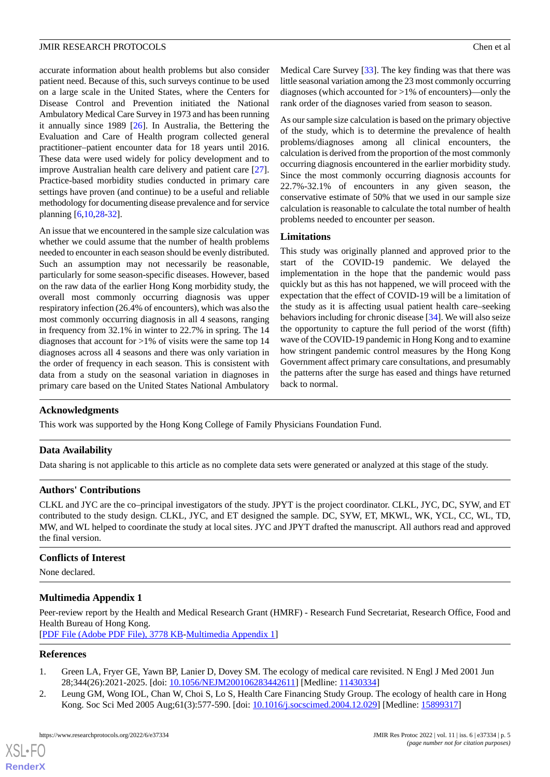accurate information about health problems but also consider patient need. Because of this, such surveys continue to be used on a large scale in the United States, where the Centers for Disease Control and Prevention initiated the National Ambulatory Medical Care Survey in 1973 and has been running it annually since 1989 [\[26](#page-5-19)]. In Australia, the Bettering the Evaluation and Care of Health program collected general practitioner–patient encounter data for 18 years until 2016. These data were used widely for policy development and to improve Australian health care delivery and patient care [[27\]](#page-5-20). Practice-based morbidity studies conducted in primary care settings have proven (and continue) to be a useful and reliable methodology for documenting disease prevalence and for service planning [\[6](#page-5-3),[10](#page-5-7)[,28](#page-5-21)-[32\]](#page-6-0).

An issue that we encountered in the sample size calculation was whether we could assume that the number of health problems needed to encounter in each season should be evenly distributed. Such an assumption may not necessarily be reasonable, particularly for some season-specific diseases. However, based on the raw data of the earlier Hong Kong morbidity study, the overall most commonly occurring diagnosis was upper respiratory infection (26.4% of encounters), which was also the most commonly occurring diagnosis in all 4 seasons, ranging in frequency from 32.1% in winter to 22.7% in spring. The 14 diagnoses that account for  $>1\%$  of visits were the same top 14 diagnoses across all 4 seasons and there was only variation in the order of frequency in each season. This is consistent with data from a study on the seasonal variation in diagnoses in primary care based on the United States National Ambulatory

Medical Care Survey [\[33](#page-6-1)]. The key finding was that there was little seasonal variation among the 23 most commonly occurring diagnoses (which accounted for >1% of encounters)—only the rank order of the diagnoses varied from season to season.

As our sample size calculation is based on the primary objective of the study, which is to determine the prevalence of health problems/diagnoses among all clinical encounters, the calculation is derived from the proportion of the most commonly occurring diagnosis encountered in the earlier morbidity study. Since the most commonly occurring diagnosis accounts for 22.7%-32.1% of encounters in any given season, the conservative estimate of 50% that we used in our sample size calculation is reasonable to calculate the total number of health problems needed to encounter per season.

#### **Limitations**

This study was originally planned and approved prior to the start of the COVID-19 pandemic. We delayed the implementation in the hope that the pandemic would pass quickly but as this has not happened, we will proceed with the expectation that the effect of COVID-19 will be a limitation of the study as it is affecting usual patient health care–seeking behaviors including for chronic disease [\[34](#page-6-2)]. We will also seize the opportunity to capture the full period of the worst (fifth) wave of the COVID-19 pandemic in Hong Kong and to examine how stringent pandemic control measures by the Hong Kong Government affect primary care consultations, and presumably the patterns after the surge has eased and things have returned back to normal.

# **Acknowledgments**

This work was supported by the Hong Kong College of Family Physicians Foundation Fund.

# **Data Availability**

Data sharing is not applicable to this article as no complete data sets were generated or analyzed at this stage of the study.

# **Authors' Contributions**

CLKL and JYC are the co–principal investigators of the study. JPYT is the project coordinator. CLKL, JYC, DC, SYW, and ET contributed to the study design. CLKL, JYC, and ET designed the sample. DC, SYW, ET, MKWL, WK, YCL, CC, WL, TD, MW, and WL helped to coordinate the study at local sites. JYC and JPYT drafted the manuscript. All authors read and approved the final version.

# **Conflicts of Interest**

None declared.

# **Multimedia Appendix 1**

<span id="page-4-0"></span>Peer-review report by the Health and Medical Research Grant (HMRF) - Research Fund Secretariat, Research Office, Food and Health Bureau of Hong Kong.

<span id="page-4-1"></span>[[PDF File \(Adobe PDF File\), 3778 KB](https://jmir.org/api/download?alt_name=resprot_v11i6e37334_app1.pdf&filename=f354bb01441b582b81d6b1dc3ba3741d.pdf)-[Multimedia Appendix 1\]](https://jmir.org/api/download?alt_name=resprot_v11i6e37334_app1.pdf&filename=f354bb01441b582b81d6b1dc3ba3741d.pdf)

#### **References**

- 1. Green LA, Fryer GE, Yawn BP, Lanier D, Dovey SM. The ecology of medical care revisited. N Engl J Med 2001 Jun 28;344(26):2021-2025. [doi: [10.1056/NEJM200106283442611\]](http://dx.doi.org/10.1056/NEJM200106283442611) [Medline: [11430334\]](http://www.ncbi.nlm.nih.gov/entrez/query.fcgi?cmd=Retrieve&db=PubMed&list_uids=11430334&dopt=Abstract)
- 2. Leung GM, Wong IOL, Chan W, Choi S, Lo S, Health Care Financing Study Group. The ecology of health care in Hong Kong. Soc Sci Med 2005 Aug;61(3):577-590. [doi: [10.1016/j.socscimed.2004.12.029](http://dx.doi.org/10.1016/j.socscimed.2004.12.029)] [Medline: [15899317](http://www.ncbi.nlm.nih.gov/entrez/query.fcgi?cmd=Retrieve&db=PubMed&list_uids=15899317&dopt=Abstract)]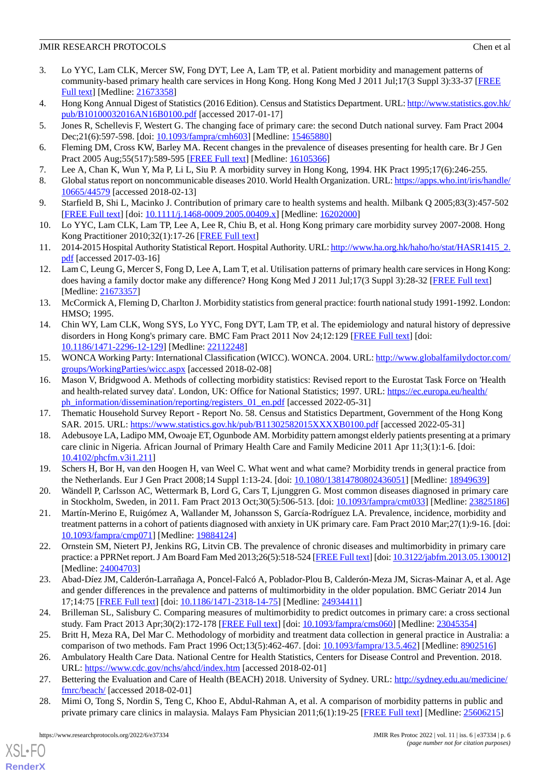- <span id="page-5-0"></span>3. Lo YYC, Lam CLK, Mercer SW, Fong DYT, Lee A, Lam TP, et al. Patient morbidity and management patterns of community-based primary health care services in Hong Kong. Hong Kong Med J 2011 Jul;17(3 Suppl 3):33-37 [[FREE](http://www.hkmj.org/abstracts/v17n3%20Suppl%203/33.htm) [Full text\]](http://www.hkmj.org/abstracts/v17n3%20Suppl%203/33.htm) [Medline: [21673358\]](http://www.ncbi.nlm.nih.gov/entrez/query.fcgi?cmd=Retrieve&db=PubMed&list_uids=21673358&dopt=Abstract)
- <span id="page-5-2"></span><span id="page-5-1"></span>4. Hong Kong Annual Digest of Statistics (2016 Edition). Census and Statistics Department. URL: [http://www.statistics.gov.hk/](http://www.statistics.gov.hk/pub/B10100032016AN16B0100.pdf) [pub/B10100032016AN16B0100.pdf](http://www.statistics.gov.hk/pub/B10100032016AN16B0100.pdf) [accessed 2017-01-17]
- <span id="page-5-3"></span>5. Jones R, Schellevis F, Westert G. The changing face of primary care: the second Dutch national survey. Fam Pract 2004 Dec; 21(6): 597-598. [doi: [10.1093/fampra/cmh603](http://dx.doi.org/10.1093/fampra/cmh603)] [Medline: [15465880\]](http://www.ncbi.nlm.nih.gov/entrez/query.fcgi?cmd=Retrieve&db=PubMed&list_uids=15465880&dopt=Abstract)
- <span id="page-5-4"></span>6. Fleming DM, Cross KW, Barley MA. Recent changes in the prevalence of diseases presenting for health care. Br J Gen Pract 2005 Aug;55(517):589-595 [[FREE Full text](https://bjgp.org/cgi/pmidlookup?view=long&pmid=16105366)] [Medline: [16105366\]](http://www.ncbi.nlm.nih.gov/entrez/query.fcgi?cmd=Retrieve&db=PubMed&list_uids=16105366&dopt=Abstract)
- <span id="page-5-5"></span>7. Lee A, Chan K, Wun Y, Ma P, Li L, Siu P. A morbidity survey in Hong Kong, 1994. HK Pract 1995;17(6):246-255.
- <span id="page-5-6"></span>8. Global status report on noncommunicable diseases 2010. World Health Organization. URL: [https://apps.who.int/iris/handle/](https://apps.who.int/iris/handle/10665/44579) [10665/44579](https://apps.who.int/iris/handle/10665/44579) [accessed 2018-02-13]
- <span id="page-5-7"></span>9. Starfield B, Shi L, Macinko J. Contribution of primary care to health systems and health. Milbank Q 2005;83(3):457-502 [[FREE Full text](http://europepmc.org/abstract/MED/16202000)] [doi: [10.1111/j.1468-0009.2005.00409.x\]](http://dx.doi.org/10.1111/j.1468-0009.2005.00409.x) [Medline: [16202000\]](http://www.ncbi.nlm.nih.gov/entrez/query.fcgi?cmd=Retrieve&db=PubMed&list_uids=16202000&dopt=Abstract)
- <span id="page-5-8"></span>10. Lo YYC, Lam CLK, Lam TP, Lee A, Lee R, Chiu B, et al. Hong Kong primary care morbidity survey 2007-2008. Hong Kong Practitioner 2010;32(1):17-26 [\[FREE Full text\]](https://www.hkcfp.org.hk/Upload/HK_Practitioner/2010/hkp2010vol32mar/original_article_2.html)
- <span id="page-5-9"></span>11. 2014-2015 Hospital Authority Statistical Report. Hospital Authority. URL: [http://www.ha.org.hk/haho/ho/stat/HASR1415\\_2.](http://www.ha.org.hk/haho/ho/stat/HASR1415_2.pdf) [pdf](http://www.ha.org.hk/haho/ho/stat/HASR1415_2.pdf) [accessed 2017-03-16]
- <span id="page-5-10"></span>12. Lam C, Leung G, Mercer S, Fong D, Lee A, Lam T, et al. Utilisation patterns of primary health care services in Hong Kong: does having a family doctor make any difference? Hong Kong Med J 2011 Jul;17(3 Suppl 3):28-32 [[FREE Full text](http://www.hkmj.org/abstracts/v17n3%20Suppl%203/28.htm)] [Medline: [21673357](http://www.ncbi.nlm.nih.gov/entrez/query.fcgi?cmd=Retrieve&db=PubMed&list_uids=21673357&dopt=Abstract)]
- <span id="page-5-11"></span>13. McCormick A, Fleming D, Charlton J. Morbidity statistics from general practice: fourth national study 1991-1992. London: HMSO; 1995.
- <span id="page-5-12"></span>14. Chin WY, Lam CLK, Wong SYS, Lo YYC, Fong DYT, Lam TP, et al. The epidemiology and natural history of depressive disorders in Hong Kong's primary care. BMC Fam Pract 2011 Nov 24;12:129 [[FREE Full text](https://bmcfampract.biomedcentral.com/articles/10.1186/1471-2296-12-129)] [doi: [10.1186/1471-2296-12-129\]](http://dx.doi.org/10.1186/1471-2296-12-129) [Medline: [22112248\]](http://www.ncbi.nlm.nih.gov/entrez/query.fcgi?cmd=Retrieve&db=PubMed&list_uids=22112248&dopt=Abstract)
- <span id="page-5-13"></span>15. WONCA Working Party: International Classification (WICC). WONCA. 2004. URL: [http://www.globalfamilydoctor.com/](http://www.globalfamilydoctor.com/groups/WorkingParties/wicc.aspx) [groups/WorkingParties/wicc.aspx](http://www.globalfamilydoctor.com/groups/WorkingParties/wicc.aspx) [accessed 2018-02-08]
- <span id="page-5-15"></span><span id="page-5-14"></span>16. Mason V, Bridgwood A. Methods of collecting morbidity statistics: Revised report to the Eurostat Task Force on 'Health and health-related survey data'. London, UK: Office for National Statistics; 1997. URL: [https://ec.europa.eu/health/](https://ec.europa.eu/health/ph_information/dissemination/reporting/registers_01_en.pdf) [ph\\_information/dissemination/reporting/registers\\_01\\_en.pdf](https://ec.europa.eu/health/ph_information/dissemination/reporting/registers_01_en.pdf) [accessed 2022-05-31]
- <span id="page-5-16"></span>17. Thematic Household Survey Report - Report No. 58. Census and Statistics Department, Government of the Hong Kong SAR. 2015. URL:<https://www.statistics.gov.hk/pub/B11302582015XXXXB0100.pdf> [accessed 2022-05-31]
- 18. Adebusoye LA, Ladipo MM, Owoaje ET, Ogunbode AM. Morbidity pattern amongst elderly patients presenting at a primary care clinic in Nigeria. African Journal of Primary Health Care and Family Medicine 2011 Apr 11;3(1):1-6. [doi: [10.4102/phcfm.v3i1.211](http://dx.doi.org/10.4102/phcfm.v3i1.211)]
- 19. Schers H, Bor H, van den Hoogen H, van Weel C. What went and what came? Morbidity trends in general practice from the Netherlands. Eur J Gen Pract 2008;14 Suppl 1:13-24. [doi: [10.1080/13814780802436051](http://dx.doi.org/10.1080/13814780802436051)] [Medline: [18949639\]](http://www.ncbi.nlm.nih.gov/entrez/query.fcgi?cmd=Retrieve&db=PubMed&list_uids=18949639&dopt=Abstract)
- 20. Wändell P, Carlsson AC, Wettermark B, Lord G, Cars T, Ljunggren G. Most common diseases diagnosed in primary care in Stockholm, Sweden, in 2011. Fam Pract 2013 Oct;30(5):506-513. [doi: [10.1093/fampra/cmt033](http://dx.doi.org/10.1093/fampra/cmt033)] [Medline: [23825186](http://www.ncbi.nlm.nih.gov/entrez/query.fcgi?cmd=Retrieve&db=PubMed&list_uids=23825186&dopt=Abstract)]
- 21. Martín-Merino E, Ruigómez A, Wallander M, Johansson S, García-Rodríguez LA. Prevalence, incidence, morbidity and treatment patterns in a cohort of patients diagnosed with anxiety in UK primary care. Fam Pract 2010 Mar;27(1):9-16. [doi: [10.1093/fampra/cmp071](http://dx.doi.org/10.1093/fampra/cmp071)] [Medline: [19884124\]](http://www.ncbi.nlm.nih.gov/entrez/query.fcgi?cmd=Retrieve&db=PubMed&list_uids=19884124&dopt=Abstract)
- <span id="page-5-17"></span>22. Ornstein SM, Nietert PJ, Jenkins RG, Litvin CB. The prevalence of chronic diseases and multimorbidity in primary care practice: a PPRNet report. J Am Board Fam Med 2013;26(5):518-524 [[FREE Full text\]](http://www.jabfm.org/cgi/pmidlookup?view=long&pmid=24004703) [doi: [10.3122/jabfm.2013.05.130012](http://dx.doi.org/10.3122/jabfm.2013.05.130012)] [Medline: [24004703](http://www.ncbi.nlm.nih.gov/entrez/query.fcgi?cmd=Retrieve&db=PubMed&list_uids=24004703&dopt=Abstract)]
- <span id="page-5-19"></span><span id="page-5-18"></span>23. Abad-Díez JM, Calderón-Larrañaga A, Poncel-Falcó A, Poblador-Plou B, Calderón-Meza JM, Sicras-Mainar A, et al. Age and gender differences in the prevalence and patterns of multimorbidity in the older population. BMC Geriatr 2014 Jun 17;14:75 [[FREE Full text](https://bmcgeriatr.biomedcentral.com/articles/10.1186/1471-2318-14-75)] [doi: [10.1186/1471-2318-14-75\]](http://dx.doi.org/10.1186/1471-2318-14-75) [Medline: [24934411\]](http://www.ncbi.nlm.nih.gov/entrez/query.fcgi?cmd=Retrieve&db=PubMed&list_uids=24934411&dopt=Abstract)
- <span id="page-5-20"></span>24. Brilleman SL, Salisbury C. Comparing measures of multimorbidity to predict outcomes in primary care: a cross sectional study. Fam Pract 2013 Apr;30(2):172-178 [\[FREE Full text\]](http://europepmc.org/abstract/MED/23045354) [doi: [10.1093/fampra/cms060](http://dx.doi.org/10.1093/fampra/cms060)] [Medline: [23045354\]](http://www.ncbi.nlm.nih.gov/entrez/query.fcgi?cmd=Retrieve&db=PubMed&list_uids=23045354&dopt=Abstract)
- <span id="page-5-21"></span>25. Britt H, Meza RA, Del Mar C. Methodology of morbidity and treatment data collection in general practice in Australia: a comparison of two methods. Fam Pract 1996 Oct;13(5):462-467. [doi: [10.1093/fampra/13.5.462](http://dx.doi.org/10.1093/fampra/13.5.462)] [Medline: [8902516\]](http://www.ncbi.nlm.nih.gov/entrez/query.fcgi?cmd=Retrieve&db=PubMed&list_uids=8902516&dopt=Abstract)
- 26. Ambulatory Health Care Data. National Centre for Health Statistics, Centers for Disease Control and Prevention. 2018. URL: <https://www.cdc.gov/nchs/ahcd/index.htm> [accessed 2018-02-01]
- 27. Bettering the Evaluation and Care of Health (BEACH) 2018. University of Sydney. URL: [http://sydney.edu.au/medicine/](http://sydney.edu.au/medicine/fmrc/beach/) [fmrc/beach/](http://sydney.edu.au/medicine/fmrc/beach/) [accessed 2018-02-01]
- 28. Mimi O, Tong S, Nordin S, Teng C, Khoo E, Abdul-Rahman A, et al. A comparison of morbidity patterns in public and private primary care clinics in malaysia. Malays Fam Physician 2011;6(1):19-25 [[FREE Full text](http://europepmc.org/abstract/MED/25606215)] [Medline: [25606215](http://www.ncbi.nlm.nih.gov/entrez/query.fcgi?cmd=Retrieve&db=PubMed&list_uids=25606215&dopt=Abstract)]